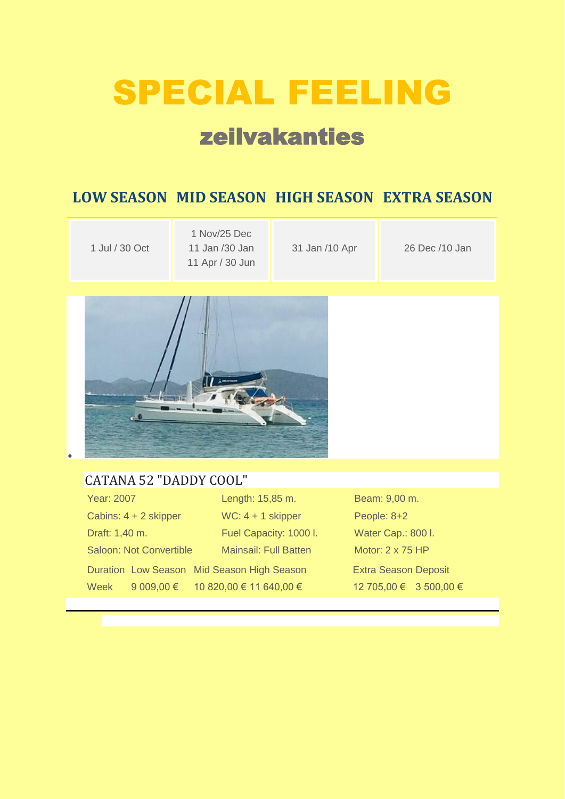# SPECIAL FEELING

## zeilvakanties

### **LOW SEASON MID SEASON HIGH SEASON EXTRA SEASON**

| 1 Jul / 30 Oct | 1 Nov/25 Dec<br>11 Jan /30 Jan<br>11 Apr / 30 Jun | 31 Jan /10 Apr | 26 Dec /10 Jan |
|----------------|---------------------------------------------------|----------------|----------------|
|----------------|---------------------------------------------------|----------------|----------------|



#### [CATANA 52 "DADDY COOL"](https://www.medcaribbean.com/en/catamarans/234-catana-52-daddy-cool.html)

| Year: 2007                                 | Length: 15,85 m.                   | Beam: 9,00 m.               |
|--------------------------------------------|------------------------------------|-----------------------------|
| Cabins: $4 + 2$ skipper                    | $WC: 4 + 1$ skipper                | People: 8+2                 |
| Draft: 1,40 m.                             | Fuel Capacity: 1000 I.             | Water Cap.: 800 I.          |
| <b>Saloon: Not Convertible</b>             | <b>Mainsail: Full Batten</b>       | Motor: 2 x 75 HP            |
| Duration Low Season Mid Season High Season |                                    | <b>Extra Season Deposit</b> |
| Week                                       | 9 009,00 € 10 820,00 € 11 640,00 € | 12 705,00 € 3 500,00 €      |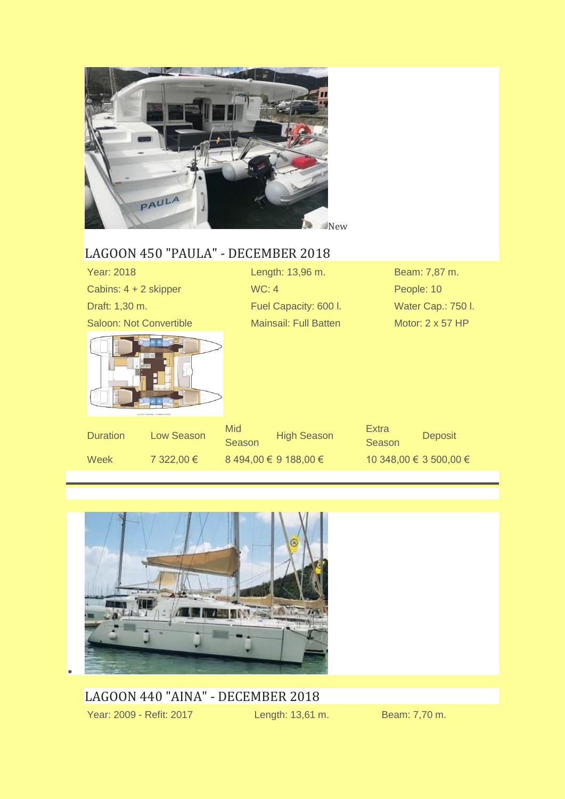

#### [LAGOON 450 "PAULA" -](https://www.medcaribbean.com/en/catamarans/181-lagoon-450.html) DECEMBER 2018

| <b>Year: 2018</b>              |                                           |                      | Length: 13,96 m.             |                        | Beam: 7,87 m.      |
|--------------------------------|-------------------------------------------|----------------------|------------------------------|------------------------|--------------------|
| Cabins: 4 + 2 skipper          |                                           | WC: 4                |                              | People: 10             |                    |
| Draft: 1,30 m.                 |                                           |                      | Fuel Capacity: 600 I.        |                        | Water Cap.: 750 I. |
| <b>Saloon: Not Convertible</b> |                                           |                      | <b>Mainsail: Full Batten</b> |                        | Motor: 2 x 57 HP   |
|                                | 390<br>venion 4 cabines / 4 cabins venion |                      |                              |                        |                    |
| <b>Duration</b>                | <b>Low Season</b>                         | <b>Mid</b><br>Season | <b>High Season</b>           | <b>Extra</b><br>Season | <b>Deposit</b>     |
| Week                           | 7 322,00 €                                |                      | 8 494,00 € 9 188,00 €        | 10 348,00 € 3 500,00 € |                    |



[LAGOON 440 "AINA" -](https://www.medcaribbean.com/en/catamarans/182-lagoon-440.html) DECEMBER 2018 Year: 2009 - Refit: 2017 Length: 13,61 m. Beam: 7,70 m.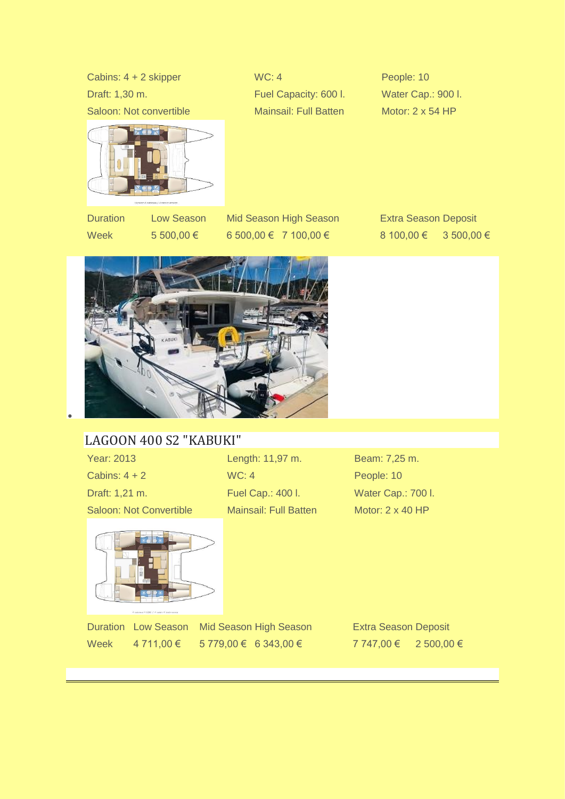Cabins: 4 + 2 skipper WC: 4 People: 10 Draft: 1,30 m. **Example 20 Fuel Capacity: 600 l.** Water Cap.: 900 l. Saloon: Not convertible Mainsail: Full Batten Motor: 2 x 54 HP



•

Duration Low Season Mid Season High Season Extra Season Deposit Week 5 500,00 € 6 500,00 € 7 100,00 € 8 100,00 € 3 500,00 €



#### [LAGOON 400 S2 "KABUKI"](https://www.medcaribbean.com/en/catamarans/11-lagoon400-s2.html)

Cabins: 4 + 2 WC: 4 People: 10 Draft: 1,21 m. Fuel Cap.: 400 l. Water Cap.: 700 l. Saloon: Not Convertible Mainsail: Full Batten Motor: 2 x 40 HP

Year: 2013 Length: 11,97 m. Beam: 7,25 m.



Duration Low Season Mid Season High Season Extra Season Deposit Week 4 711,00 € 5 779,00 € 6 343,00 € 7 747,00 € 2 500,00 €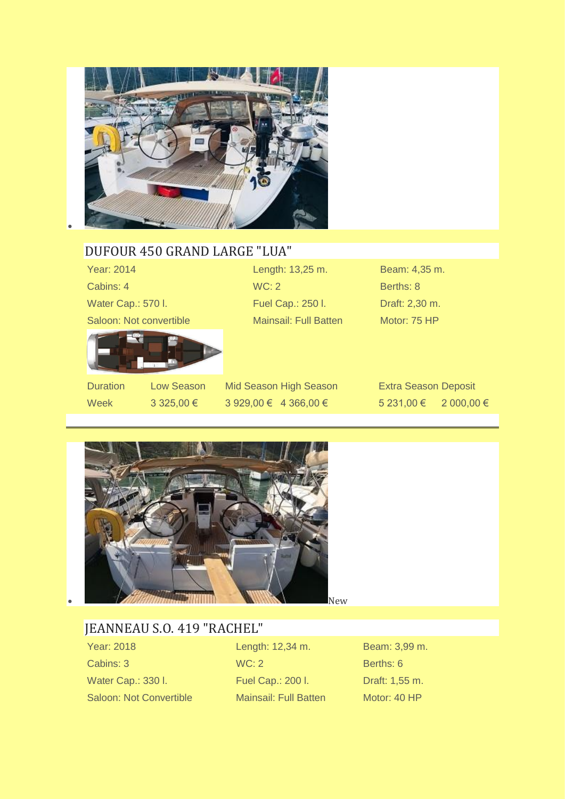

#### [DUFOUR 450 GRAND LARGE "LUA"](https://www.medcaribbean.com/en/monohulls/16-dufour450-grand-large.html)

| Year: 2014              |            |       | Length: 13,25 m.       | Beam: 4,35 m.               |            |
|-------------------------|------------|-------|------------------------|-----------------------------|------------|
| Cabins: 4               |            | WC: 2 |                        | Berths: 8                   |            |
| Water Cap.: 570 I.      |            |       | Fuel Cap.: 250 I.      | Draft: 2,30 m.              |            |
| Saloon: Not convertible |            |       | Mainsail: Full Batten  | Motor: 75 HP                |            |
|                         |            |       |                        |                             |            |
| <b>Duration</b>         | Low Season |       | Mid Season High Season | <b>Extra Season Deposit</b> |            |
| <b>Week</b>             | 3 325,00 € |       | 3 929,00 € 4 366,00 €  | 5 231,00 €                  | 2 000,00 € |



## [JEANNEAU S.O. 419 "RACHEL"](https://www.medcaribbean.com/en/monohulls/179-jeanneau-sun-odyssey-419.html)

Year: 2018 Length: 12,34 m. Beam: 3,99 m. Cabins: 3 WC: 2 Berths: 6 Water Cap.: 330 l. Fuel Cap.: 200 l. Draft: 1,55 m. Saloon: Not Convertible Mainsail: Full Batten Motor: 40 HP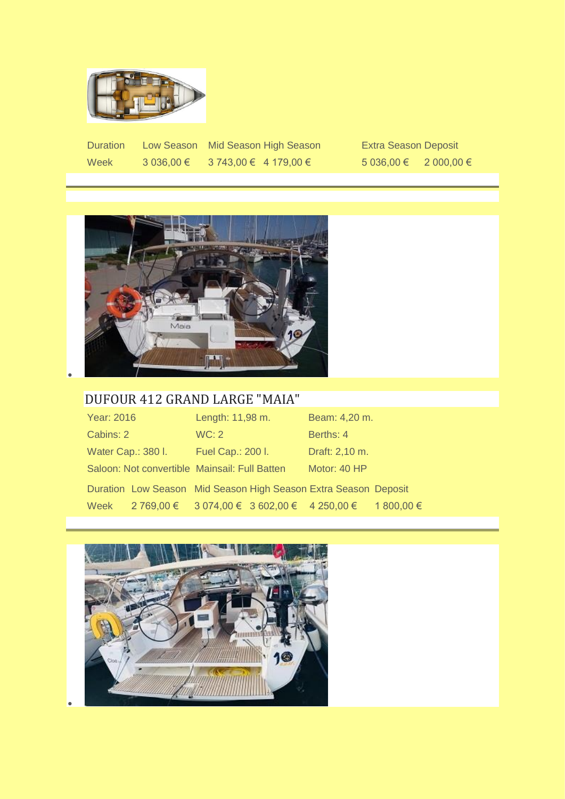

Duration Low Season Mid Season High Season Extra Season Deposit Week 3 036,00 € 3 743,00 € 4 179,00 € 5 036,00 € 2 000,00 €



#### [DUFOUR 412 GRAND LARGE "MAIA"](https://www.medcaribbean.com/en/monohulls/100-dufour-412-grand-large.html)

| Year: 2016         |                                                | Length: 11,98 m.  | Beam: 4,20 m.                                                   |            |
|--------------------|------------------------------------------------|-------------------|-----------------------------------------------------------------|------------|
| Cabins: 2          |                                                | WC: 2             | Berths: 4                                                       |            |
| Water Cap.: 380 I. |                                                | Fuel Cap.: 200 I. | Draft: 2,10 m.                                                  |            |
|                    | Saloon: Not convertible Mainsail: Full Batten  |                   | Motor: 40 HP                                                    |            |
|                    |                                                |                   | Duration Low Season Mid Season High Season Extra Season Deposit |            |
| Week               | $2769,00 \in$ 3 074,00 € 3 602,00 € 4 250,00 € |                   |                                                                 | 1 800,00 € |

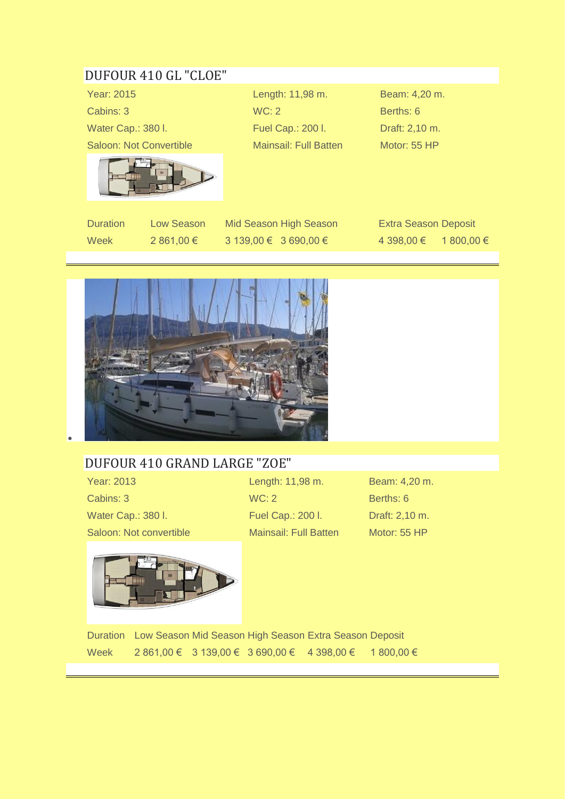#### [DUFOUR 410 GL "CLOE"](https://www.medcaribbean.com/en/monohulls/129-dufour-410-grand-large.html)

Year: 2015 Length: 11,98 m. Beam: 4,20 m. Cabins: 3 WC: 2 Berths: 6 Water Cap.: 380 l. Fuel Cap.: 200 l. Draft: 2,10 m. Saloon: Not Convertible Mainsail: Full Batten Motor: 55 HP



Duration Low Season Mid Season High Season Extra Season Deposit Week 2 861,00 € 3 139,00 € 3 690,00 € 4 398,00 € 1 800,00 €



#### [DUFOUR 410 GRAND LARGE "ZOE"](https://www.medcaribbean.com/en/monohulls/17-dufour410-grandlarge.html)

Year: 2013 Length: 11,98 m. Beam: 4,20 m. Cabins: 3 WC: 2 Berths: 6 Water Cap.: 380 l. Fuel Cap.: 200 l. Draft: 2,10 m. Saloon: Not convertible Mainsail: Full Batten Motor: 55 HP



Duration Low Season Mid Season High Season Extra Season Deposit Week 2 861,00 € 3 139,00 € 3 690,00 € 4 398,00 € 1 800,00 €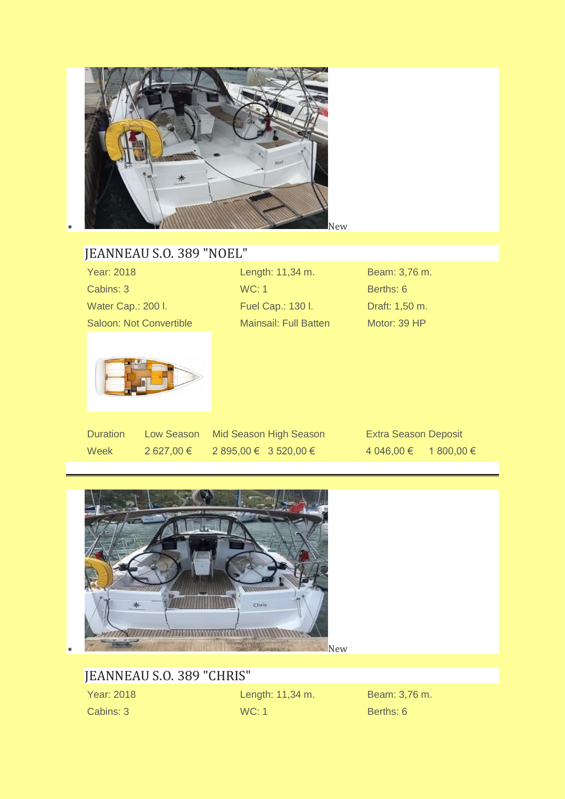

### [JEANNEAU S.O. 389 "NOEL"](https://www.medcaribbean.com/en/monohulls/178-jeanneau-sun-odyssey-389.html)

| Length: 11,34 m.             | Beam: 3,76 m.  |
|------------------------------|----------------|
| WC: 1                        | Berths: 6      |
| Fuel Cap.: 130 l.            | Draft: 1,50 m. |
| <b>Mainsail: Full Batten</b> | Motor: 39 HP   |
|                              |                |
|                              |                |

Week 2 627,00 € 2 895,00 € 3 520,00 € 4 046,00 € 1 800,00 €

Duration Low Season Mid Season High Season Extra Season Deposit



#### [JEANNEAU S.O. 389 "CHRIS"](https://www.medcaribbean.com/en/monohulls/177-jeanneau-sun-odyssey-389.html)

Year: 2018 Length: 11,34 m. Beam: 3,76 m. Cabins: 3 WC: 1 Berths: 6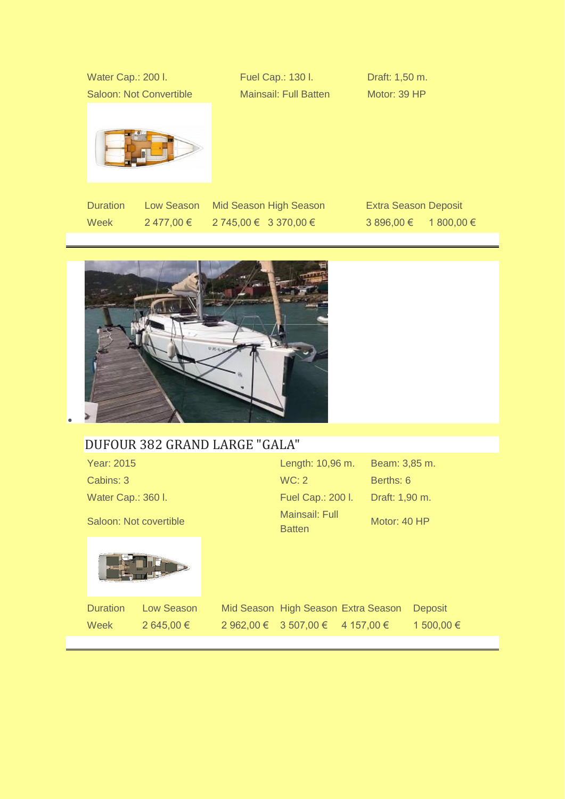| Water Cap.: 200 I.             |            | Fuel Cap.: 130 I.            | Draft: 1,50 m.              |  |
|--------------------------------|------------|------------------------------|-----------------------------|--|
| <b>Saloon: Not Convertible</b> |            | <b>Mainsail: Full Batten</b> | Motor: 39 HP                |  |
|                                |            |                              |                             |  |
| <b>Duration</b>                | Low Season | Mid Season High Season       | <b>Extra Season Deposit</b> |  |

Week 2 477,00 € 2 745,00 € 3 370,00 € 3 896,00 € 1 800,00 €



#### [DUFOUR 382 GRAND LARGE "GALA"](https://www.medcaribbean.com/en/monohulls/54-dufour382.html)

| Year: 2015             | Length: 10,96 m.         |
|------------------------|--------------------------|
| Cabins: 3              | WC: 2                    |
| Water Cap.: 360 I.     | Fuel Cap.: 200 I.        |
| Saloon: Not covertible | Mainsail: Full<br>Ratten |



Duration Low Season Mid Season High Season Extra Season Deposit Week 2 645,00 € 2 962,00 € 3 507,00 € 4 157,00 € 1 500,00 €

Beam: 3,85 m.

Draft: 1,90 m.

Motor: 40 HP

Berths: 6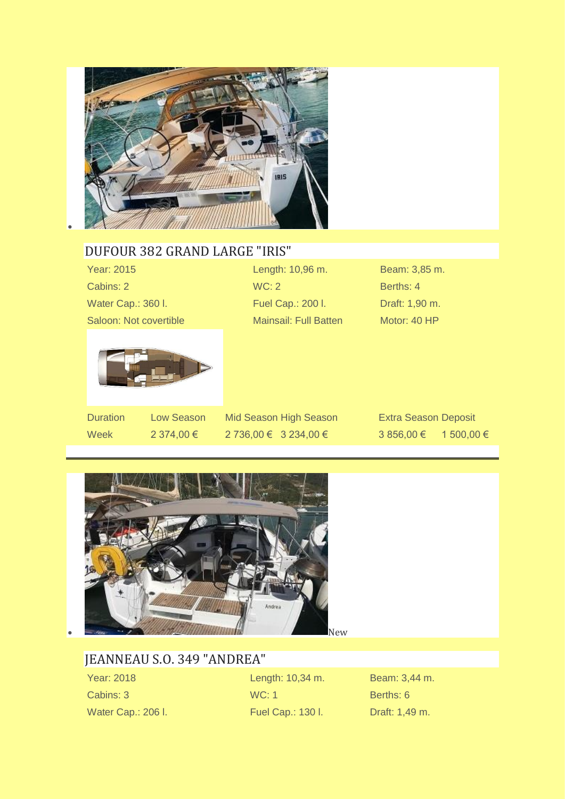

#### [DUFOUR 382 GRAND LARGE "IRIS"](https://www.medcaribbean.com/en/monohulls/30-dufour382-grand-large.html)

Year: 2015 Length: 10,96 m. Beam: 3,85 m. Cabins: 2 WC: 2 Berths: 4 Water Cap.: 360 l. Fuel Cap.: 200 l. Draft: 1,90 m. Saloon: Not covertible Mainsail: Full Batten Motor: 40 HP



Week 2 374,00 € 2 736,00 € 3 234,00 € 3 4 3 856,00 € 1 500,00 €

Duration Low Season Mid Season High Season Extra Season Deposit



#### [JEANNEAU S.O. 349 "ANDREA"](https://www.medcaribbean.com/en/monohulls/180-jeanneau-sun-odyssey-349-andrea.html)

Water Cap.: 206 l. **Fuel Cap.: 130 l.** Draft: 1,49 m.

Year: 2018 Length: 10,34 m. Beam: 3,44 m. Cabins: 3 WC: 1 Berths: 6